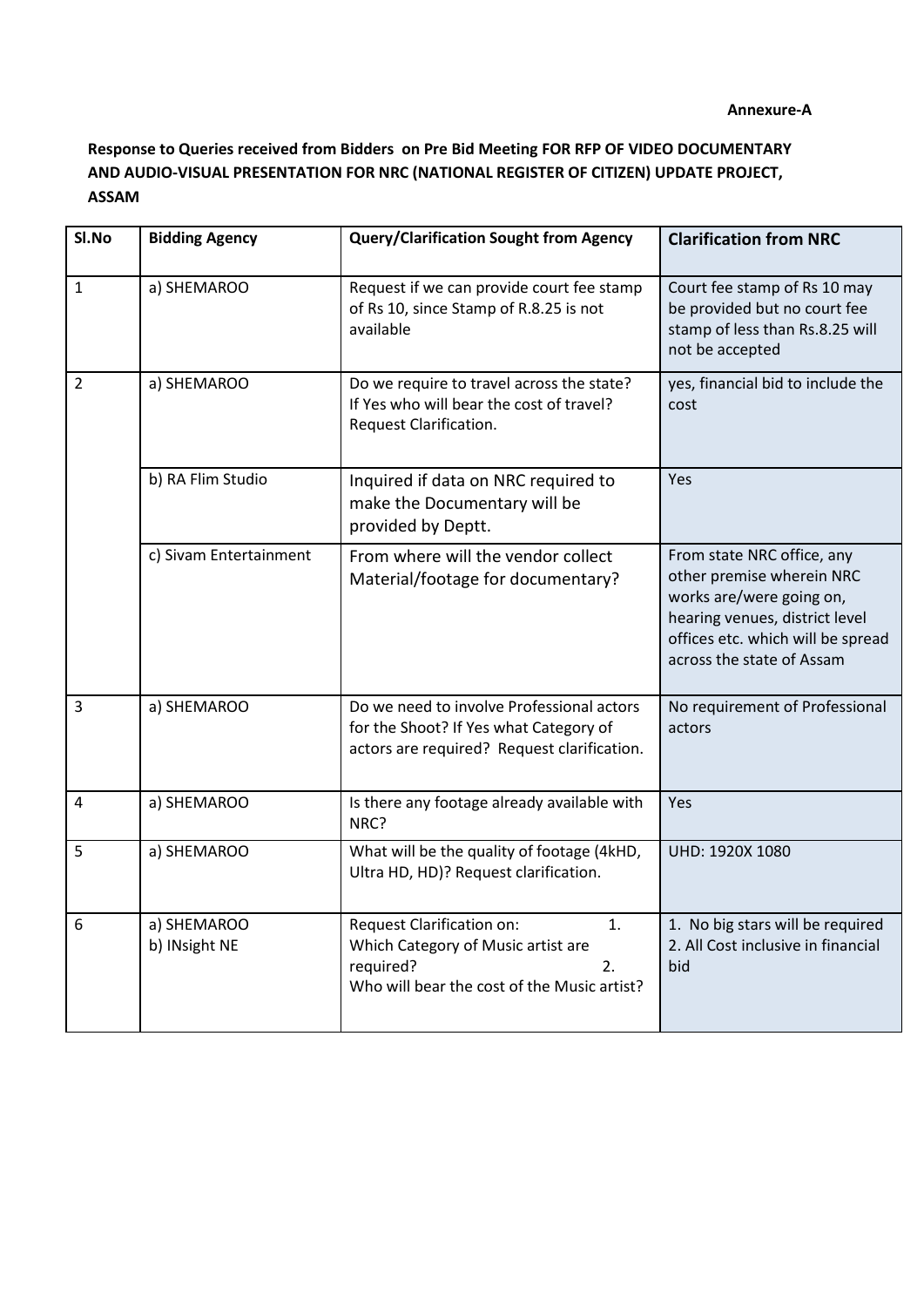## **Response to Queries received from Bidders on Pre Bid Meeting FOR RFP OF VIDEO DOCUMENTARY AND AUDIO-VISUAL PRESENTATION FOR NRC (NATIONAL REGISTER OF CITIZEN) UPDATE PROJECT, ASSAM**

| SI.No          | <b>Bidding Agency</b>        | <b>Query/Clarification Sought from Agency</b>                                                                                           | <b>Clarification from NRC</b>                                                                                                                                                           |
|----------------|------------------------------|-----------------------------------------------------------------------------------------------------------------------------------------|-----------------------------------------------------------------------------------------------------------------------------------------------------------------------------------------|
| $\mathbf{1}$   | a) SHEMAROO                  | Request if we can provide court fee stamp<br>of Rs 10, since Stamp of R.8.25 is not<br>available                                        | Court fee stamp of Rs 10 may<br>be provided but no court fee<br>stamp of less than Rs.8.25 will<br>not be accepted                                                                      |
| $\overline{2}$ | a) SHEMAROO                  | Do we require to travel across the state?<br>If Yes who will bear the cost of travel?<br>Request Clarification.                         | yes, financial bid to include the<br>cost                                                                                                                                               |
|                | b) RA Flim Studio            | Inquired if data on NRC required to<br>make the Documentary will be<br>provided by Deptt.                                               | Yes                                                                                                                                                                                     |
|                | c) Sivam Entertainment       | From where will the vendor collect<br>Material/footage for documentary?                                                                 | From state NRC office, any<br>other premise wherein NRC<br>works are/were going on,<br>hearing venues, district level<br>offices etc. which will be spread<br>across the state of Assam |
| 3              | a) SHEMAROO                  | Do we need to involve Professional actors<br>for the Shoot? If Yes what Category of<br>actors are required? Request clarification.      | No requirement of Professional<br>actors                                                                                                                                                |
| $\overline{4}$ | a) SHEMAROO                  | Is there any footage already available with<br>NRC?                                                                                     | Yes                                                                                                                                                                                     |
| 5              | a) SHEMAROO                  | What will be the quality of footage (4kHD,<br>Ultra HD, HD)? Request clarification.                                                     | UHD: 1920X 1080                                                                                                                                                                         |
| 6              | a) SHEMAROO<br>b) INsight NE | Request Clarification on:<br>1.<br>Which Category of Music artist are<br>required?<br>2.<br>Who will bear the cost of the Music artist? | 1. No big stars will be required<br>2. All Cost inclusive in financial<br>bid                                                                                                           |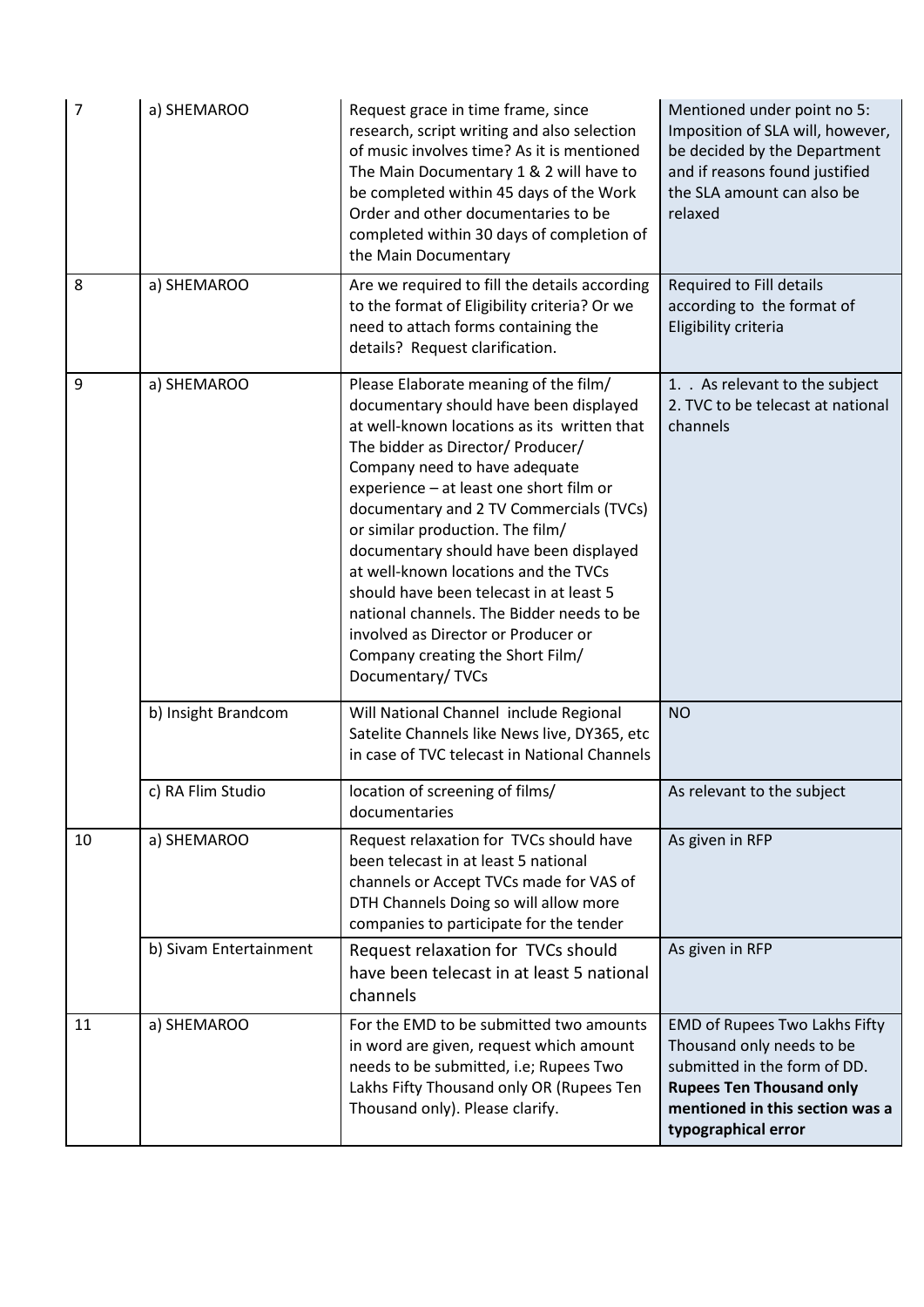| $\overline{7}$ | a) SHEMAROO            | Request grace in time frame, since<br>research, script writing and also selection<br>of music involves time? As it is mentioned<br>The Main Documentary 1 & 2 will have to<br>be completed within 45 days of the Work<br>Order and other documentaries to be<br>completed within 30 days of completion of<br>the Main Documentary                                                                                                                                                                                                                                                                        | Mentioned under point no 5:<br>Imposition of SLA will, however,<br>be decided by the Department<br>and if reasons found justified<br>the SLA amount can also be<br>relaxed              |
|----------------|------------------------|----------------------------------------------------------------------------------------------------------------------------------------------------------------------------------------------------------------------------------------------------------------------------------------------------------------------------------------------------------------------------------------------------------------------------------------------------------------------------------------------------------------------------------------------------------------------------------------------------------|-----------------------------------------------------------------------------------------------------------------------------------------------------------------------------------------|
| 8              | a) SHEMAROO            | Are we required to fill the details according<br>to the format of Eligibility criteria? Or we<br>need to attach forms containing the<br>details? Request clarification.                                                                                                                                                                                                                                                                                                                                                                                                                                  | Required to Fill details<br>according to the format of<br>Eligibility criteria                                                                                                          |
| 9              | a) SHEMAROO            | Please Elaborate meaning of the film/<br>documentary should have been displayed<br>at well-known locations as its written that<br>The bidder as Director/ Producer/<br>Company need to have adequate<br>experience - at least one short film or<br>documentary and 2 TV Commercials (TVCs)<br>or similar production. The film/<br>documentary should have been displayed<br>at well-known locations and the TVCs<br>should have been telecast in at least 5<br>national channels. The Bidder needs to be<br>involved as Director or Producer or<br>Company creating the Short Film/<br>Documentary/ TVCs | 1. . As relevant to the subject<br>2. TVC to be telecast at national<br>channels                                                                                                        |
|                | b) Insight Brandcom    | Will National Channel include Regional<br>Satelite Channels like News live, DY365, etc<br>in case of TVC telecast in National Channels                                                                                                                                                                                                                                                                                                                                                                                                                                                                   | <b>NO</b>                                                                                                                                                                               |
|                | c) RA Flim Studio      | location of screening of films/<br>documentaries                                                                                                                                                                                                                                                                                                                                                                                                                                                                                                                                                         | As relevant to the subject                                                                                                                                                              |
| 10             | a) SHEMAROO            | Request relaxation for TVCs should have<br>been telecast in at least 5 national<br>channels or Accept TVCs made for VAS of<br>DTH Channels Doing so will allow more<br>companies to participate for the tender                                                                                                                                                                                                                                                                                                                                                                                           | As given in RFP                                                                                                                                                                         |
|                | b) Sivam Entertainment | Request relaxation for TVCs should<br>have been telecast in at least 5 national<br>channels                                                                                                                                                                                                                                                                                                                                                                                                                                                                                                              | As given in RFP                                                                                                                                                                         |
| 11             | a) SHEMAROO            | For the EMD to be submitted two amounts<br>in word are given, request which amount<br>needs to be submitted, i.e; Rupees Two<br>Lakhs Fifty Thousand only OR (Rupees Ten<br>Thousand only). Please clarify.                                                                                                                                                                                                                                                                                                                                                                                              | EMD of Rupees Two Lakhs Fifty<br>Thousand only needs to be<br>submitted in the form of DD.<br><b>Rupees Ten Thousand only</b><br>mentioned in this section was a<br>typographical error |